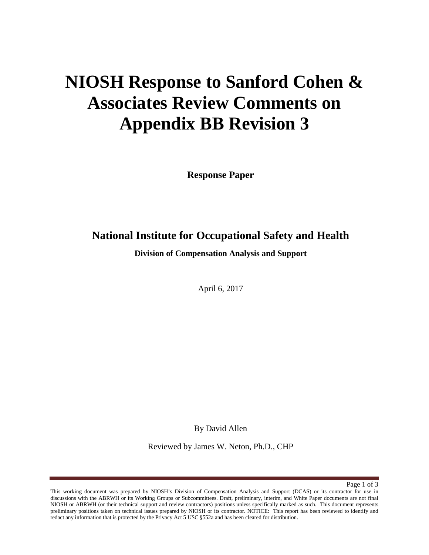# **NIOSH Response to Sanford Cohen & Associates Review Comments on Appendix BB Revision 3**

**Response Paper** 

## **National Institute for Occupational Safety and Health**

**Division of Compensation Analysis and Support** 

April 6, 2017

By David Allen

Reviewed by James W. Neton, Ph.D., CHP

Page 1 of 3

This working document was prepared by NIOSH's Division of Compensation Analysis and Support (DCAS) or its contractor for use in discussions with the ABRWH or its Working Groups or Subcommittees. Draft, preliminary, interim, and White Paper documents are not final NIOSH or ABRWH (or their technical support and review contractors) positions unless specifically marked as such. This document represents preliminary positions taken on technical issues prepared by NIOSH or its contractor. NOTICE: This report has been reviewed to identify and redact any information that is protected by the Privacy Act 5 USC §552a and has been cleared for distribution.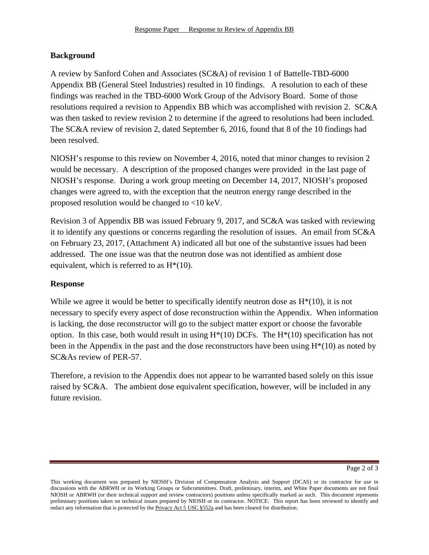### **Background**

A review by Sanford Cohen and Associates (SC&A) of revision 1 of Battelle-TBD-6000 Appendix BB (General Steel Industries) resulted in 10 findings. A resolution to each of these findings was reached in the TBD-6000 Work Group of the Advisory Board. Some of those resolutions required a revision to Appendix BB which was accomplished with revision 2. SC&A was then tasked to review revision 2 to determine if the agreed to resolutions had been included. The SC&A review of revision 2, dated September 6, 2016, found that 8 of the 10 findings had been resolved.

NIOSH's response to this review on November 4, 2016, noted that minor changes to revision 2 would be necessary. A description of the proposed changes were provided in the last page of NIOSH's response. During a work group meeting on December 14, 2017, NIOSH's proposed changes were agreed to, with the exception that the neutron energy range described in the proposed resolution would be changed to <10 keV.

Revision 3 of Appendix BB was issued February 9, 2017, and SC&A was tasked with reviewing it to identify any questions or concerns regarding the resolution of issues. An email from SC&A on February 23, 2017, (Attachment A) indicated all but one of the substantive issues had been addressed. The one issue was that the neutron dose was not identified as ambient dose equivalent, which is referred to as  $H^*(10)$ .

### **Response**

While we agree it would be better to specifically identify neutron dose as  $H<sup>*</sup>(10)$ , it is not necessary to specify every aspect of dose reconstruction within the Appendix. When information is lacking, the dose reconstructor will go to the subject matter export or choose the favorable option. In this case, both would result in using  $H^*(10)$  DCFs. The  $H^*(10)$  specification has not been in the Appendix in the past and the dose reconstructors have been using  $H^*(10)$  as noted by SC&As review of PER-57.

Therefore, a revision to the Appendix does not appear to be warranted based solely on this issue raised by SC&A. The ambient dose equivalent specification, however, will be included in any future revision.

This working document was prepared by NIOSH's Division of Compensation Analysis and Support (DCAS) or its contractor for use in discussions with the ABRWH or its Working Groups or Subcommittees. Draft, preliminary, interim, and White Paper documents are not final NIOSH or ABRWH (or their technical support and review contractors) positions unless specifically marked as such. This document represents preliminary positions taken on technical issues prepared by NIOSH or its contractor. NOTICE: This report has been reviewed to identify and redact any information that is protected by the Privacy Act 5 USC §552a and has been cleared for distribution.